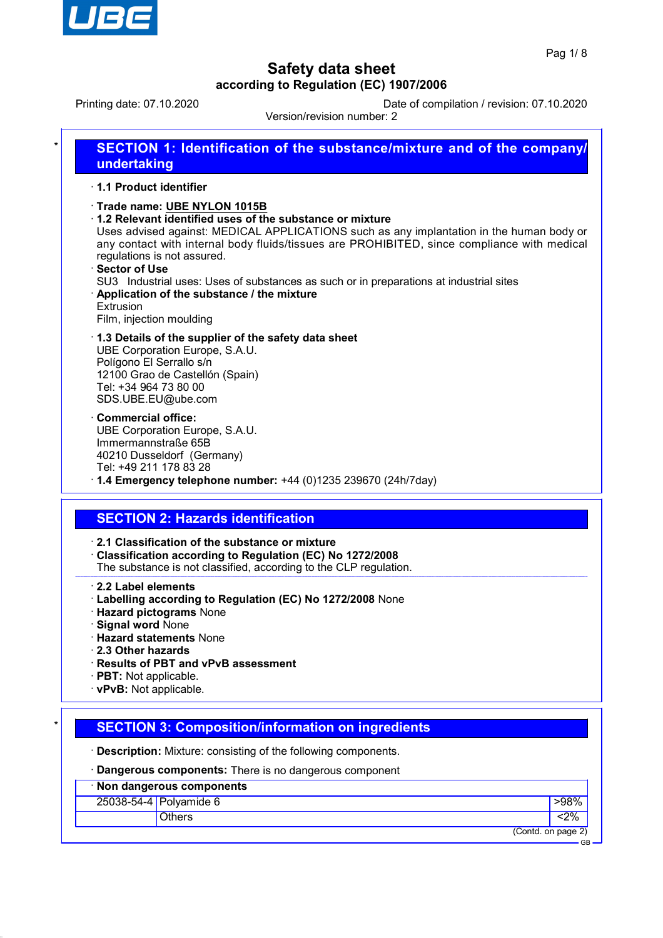

Printing date: 07.10.2020 Date of compilation / revision: 07.10.2020

Version/revision number: 2

| 1.1 Product identifier                                                                                                                                             |                                                                                                                                                                                                                                                                                                                                               |
|--------------------------------------------------------------------------------------------------------------------------------------------------------------------|-----------------------------------------------------------------------------------------------------------------------------------------------------------------------------------------------------------------------------------------------------------------------------------------------------------------------------------------------|
| Trade name: UBE NYLON 1015B<br>regulations is not assured.<br>Sector of Use<br>Application of the substance / the mixture<br>Extrusion<br>Film, injection moulding | 1.2 Relevant identified uses of the substance or mixture<br>Uses advised against: MEDICAL APPLICATIONS such as any implantation in the human body or<br>any contact with internal body fluids/tissues are PROHIBITED, since compliance with medical<br>SU3 Industrial uses: Uses of substances as such or in preparations at industrial sites |
| UBE Corporation Europe, S.A.U.<br>Polígono El Serrallo s/n<br>12100 Grao de Castellón (Spain)<br>Tel: +34 964 73 80 00<br>SDS.UBE.EU@ube.com                       | 1.3 Details of the supplier of the safety data sheet                                                                                                                                                                                                                                                                                          |
| <b>Commercial office:</b><br>UBE Corporation Europe, S.A.U.<br>Immermannstraße 65B<br>40210 Dusseldorf (Germany)<br>Tel: +49 211 178 83 28                         | $\cdot$ 1.4 Emergency telephone number: +44 (0)1235 239670 (24h/7day)                                                                                                                                                                                                                                                                         |
| <b>SECTION 2: Hazards identification</b>                                                                                                                           |                                                                                                                                                                                                                                                                                                                                               |
|                                                                                                                                                                    | 2.1 Classification of the substance or mixture<br>Classification according to Regulation (EC) No 1272/2008<br>The substance is not classified, according to the CLP regulation.                                                                                                                                                               |
| 2.2 Label elements<br><b>Hazard pictograms None</b><br>Signal word None<br><b>Hazard statements None</b>                                                           | · Labelling according to Regulation (EC) No 1272/2008 None                                                                                                                                                                                                                                                                                    |

- · **2.3 Other hazards**
- · **Results of PBT and vPvB assessment**
- · **PBT:** Not applicable.
- · **vPvB:** Not applicable.

# **SECTION 3: Composition/information on ingredients**

· **Description:** Mixture: consisting of the following components.

· **Dangerous components:** There is no dangerous component

| · Non dangerous components |                           |       |
|----------------------------|---------------------------|-------|
|                            | 25038-54-4 Polyamide 6    | >98%  |
|                            | <b>Others</b>             | $2\%$ |
|                            | (Contd. on page 2)<br>GB. |       |
|                            |                           |       |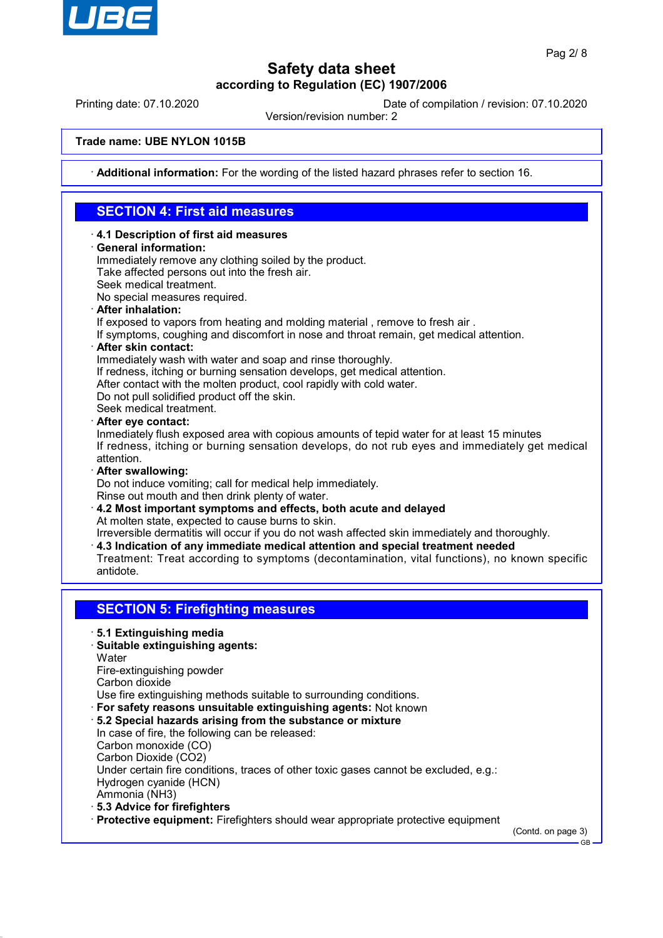

Printing date: 07.10.2020 Date of compilation / revision: 07.10.2020

Version/revision number: 2

#### **Trade name: UBE NYLON 1015B**

· **Additional information:** For the wording of the listed hazard phrases refer to section 16.

## **SECTION 4: First aid measures**

- · **4.1 Description of first aid measures**
- · **General information:**

Immediately remove any clothing soiled by the product. Take affected persons out into the fresh air.

Seek medical treatment.

No special measures required.

· **After inhalation:**

If exposed to vapors from heating and molding material , remove to fresh air .

- If symptoms, coughing and discomfort in nose and throat remain, get medical attention.
- · **After skin contact:**

Immediately wash with water and soap and rinse thoroughly.

- If redness, itching or burning sensation develops, get medical attention.
- After contact with the molten product, cool rapidly with cold water.

Do not pull solidified product off the skin.

Seek medical treatment.

· **After eye contact:**

Inmediately flush exposed area with copious amounts of tepid water for at least 15 minutes If redness, itching or burning sensation develops, do not rub eyes and immediately get medical attention.

· **After swallowing:**

Do not induce vomiting; call for medical help immediately.

- Rinse out mouth and then drink plenty of water.
- · **4.2 Most important symptoms and effects, both acute and delayed** At molten state, expected to cause burns to skin.

Irreversible dermatitis will occur if you do not wash affected skin immediately and thoroughly.

- · **4.3 Indication of any immediate medical attention and special treatment needed**
- Treatment: Treat according to symptoms (decontamination, vital functions), no known specific antidote.

## **SECTION 5: Firefighting measures**

- · **5.1 Extinguishing media**
- · **Suitable extinguishing agents:**
- **Water**

Fire-extinguishing powder

Carbon dioxide

Use fire extinguishing methods suitable to surrounding conditions.

- · **For safety reasons unsuitable extinguishing agents:** Not known
- · **5.2 Special hazards arising from the substance or mixture**

In case of fire, the following can be released: Carbon monoxide (CO)

Carbon Dioxide (CO2)

Under certain fire conditions, traces of other toxic gases cannot be excluded, e.g.: Hydrogen cyanide (HCN)

Ammonia (NH3)

· **5.3 Advice for firefighters**

· **Protective equipment:** Firefighters should wear appropriate protective equipment

(Contd. on page 3)

GB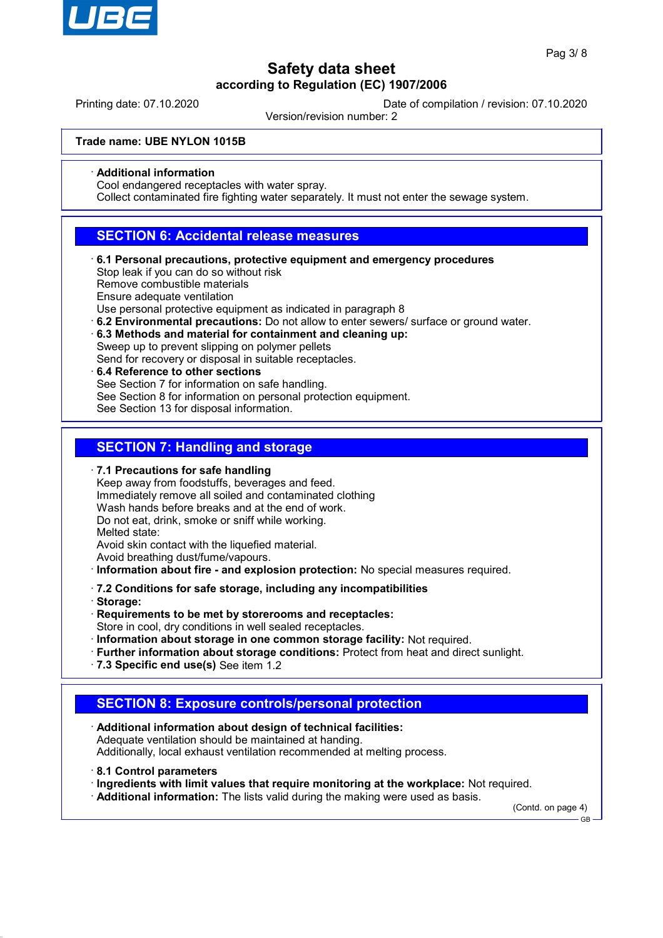

Printing date: 07.10.2020 Date of compilation / revision: 07.10.2020

Version/revision number: 2

**Trade name: UBE NYLON 1015B**

· **Additional information**

Cool endangered receptacles with water spray.

Collect contaminated fire fighting water separately. It must not enter the sewage system.

## **SECTION 6: Accidental release measures**

· **6.1 Personal precautions, protective equipment and emergency procedures** Stop leak if you can do so without risk

Remove combustible materials

Ensure adequate ventilation

Use personal protective equipment as indicated in paragraph 8

- · **6.2 Environmental precautions:** Do not allow to enter sewers/ surface or ground water.
- · **6.3 Methods and material for containment and cleaning up:** Sweep up to prevent slipping on polymer pellets

Send for recovery or disposal in suitable receptacles.

· **6.4 Reference to other sections** See Section 7 for information on safe handling. See Section 8 for information on personal protection equipment. See Section 13 for disposal information.

## **SECTION 7: Handling and storage**

· **7.1 Precautions for safe handling**

Keep away from foodstuffs, beverages and feed. Immediately remove all soiled and contaminated clothing Wash hands before breaks and at the end of work. Do not eat, drink, smoke or sniff while working. Melted state: Avoid skin contact with the liquefied material.

Avoid breathing dust/fume/vapours.

· **Information about fire - and explosion protection:** No special measures required.

· **7.2 Conditions for safe storage, including any incompatibilities**

- · **Storage:**
- · **Requirements to be met by storerooms and receptacles:**

Store in cool, dry conditions in well sealed receptacles.

- · **Information about storage in one common storage facility:** Not required.
- · **Further information about storage conditions:** Protect from heat and direct sunlight.
- · **7.3 Specific end use(s)** See item 1.2

## **SECTION 8: Exposure controls/personal protection**

- · **Additional information about design of technical facilities:** Adequate ventilation should be maintained at handing. Additionally, local exhaust ventilation recommended at melting process.
- · **8.1 Control parameters**
- · **Ingredients with limit values that require monitoring at the workplace:** Not required.

· **Additional information:** The lists valid during the making were used as basis.

(Contd. on page 4)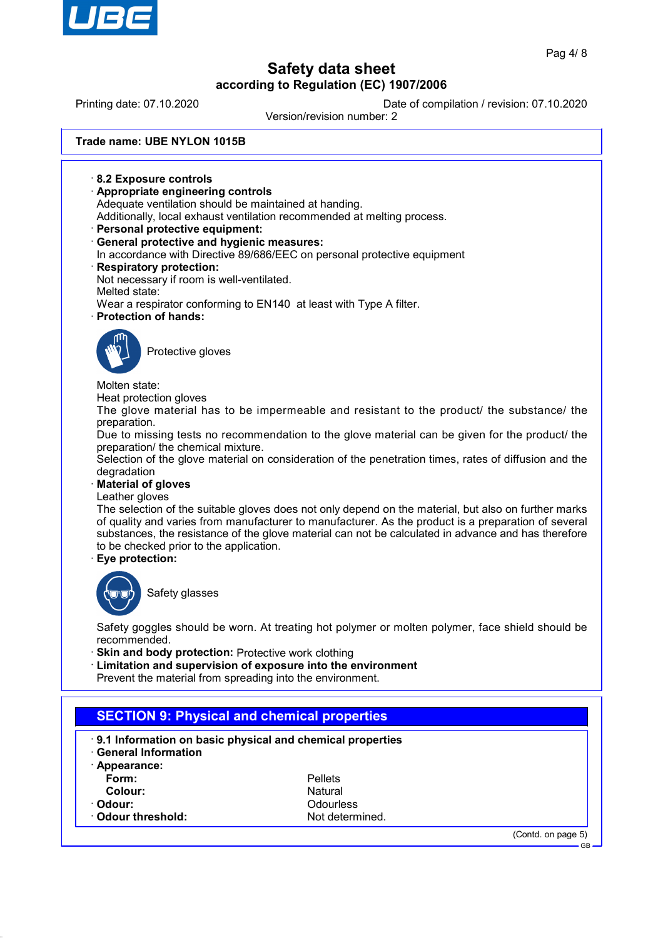

# **Safety data sheet**

**according to Regulation (EC) 1907/2006** Printing date: 07.10.2020 Date of compilation / revision: 07.10.2020 Version/revision number: 2 **Trade name: UBE NYLON 1015B** · **8.2 Exposure controls** · **Appropriate engineering controls** Adequate ventilation should be maintained at handing. Additionally, local exhaust ventilation recommended at melting process. · **Personal protective equipment:** · **General protective and hygienic measures:** In accordance with Directive 89/686/EEC on personal protective equipment · **Respiratory protection:** Not necessary if room is well-ventilated. Melted state: Wear a respirator conforming to EN140 at least with Type A filter. · **Protection of hands:** Protective gloves Molten state: Heat protection gloves The glove material has to be impermeable and resistant to the product/ the substance/ the preparation. Due to missing tests no recommendation to the glove material can be given for the product/ the preparation/ the chemical mixture. Selection of the glove material on consideration of the penetration times, rates of diffusion and the degradation · **Material of gloves** Leather gloves The selection of the suitable gloves does not only depend on the material, but also on further marks of quality and varies from manufacturer to manufacturer. As the product is a preparation of several substances, the resistance of the glove material can not be calculated in advance and has therefore to be checked prior to the application. · **Eye protection:** Safety glasses Safety goggles should be worn. At treating hot polymer or molten polymer, face shield should be recommended. **Skin and body protection: Protective work clothing** · **Limitation and supervision of exposure into the environment** Prevent the material from spreading into the environment. **SECTION 9: Physical and chemical properties** · **9.1 Information on basic physical and chemical properties** · **General Information** · **Appearance: Form:** Pellets **Colour:** Natural Natural Natural Natural Natural Natural Natural Natural Natural Natural Natural Natural Natural Natural Natural Natural Natural Natural Natural Natural Natural Natural Natural Natural Natural Natural Natu · **Odour:** Odourless

**Odour threshold:** Not determined.

(Contd. on page 5) GB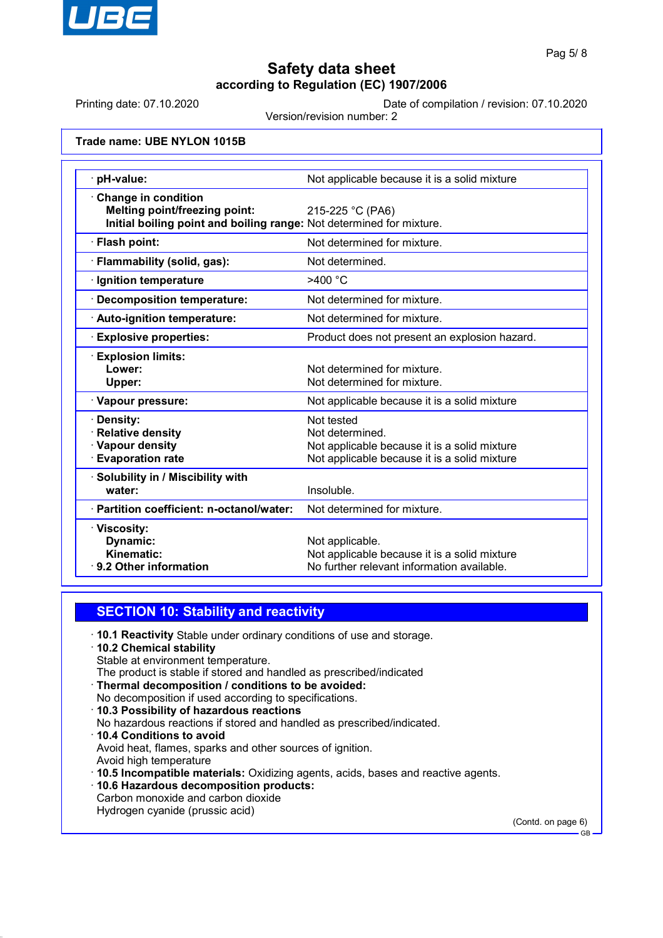

Printing date: 07.10.2020 Date of compilation / revision: 07.10.2020

Version/revision number: 2

**Trade name: UBE NYLON 1015B**

| pH-value:                                                                                                                           | Not applicable because it is a solid mixture                                                                                  |
|-------------------------------------------------------------------------------------------------------------------------------------|-------------------------------------------------------------------------------------------------------------------------------|
| Change in condition<br><b>Melting point/freezing point:</b><br>Initial boiling point and boiling range: Not determined for mixture. | 215-225 °C (PA6)                                                                                                              |
| · Flash point:                                                                                                                      | Not determined for mixture.                                                                                                   |
| · Flammability (solid, gas):                                                                                                        | Not determined.                                                                                                               |
| · Ignition temperature                                                                                                              | $>400$ °C                                                                                                                     |
| Decomposition temperature:                                                                                                          | Not determined for mixture.                                                                                                   |
| · Auto-ignition temperature:                                                                                                        | Not determined for mixture.                                                                                                   |
| <b>Explosive properties:</b>                                                                                                        | Product does not present an explosion hazard.                                                                                 |
| $\cdot$ Explosion limits:<br>Lower:<br><b>Upper:</b>                                                                                | Not determined for mixture.<br>Not determined for mixture.                                                                    |
| · Vapour pressure:                                                                                                                  | Not applicable because it is a solid mixture                                                                                  |
| · Density:<br>· Relative density<br>· Vapour density<br><b>Evaporation rate</b>                                                     | Not tested<br>Not determined.<br>Not applicable because it is a solid mixture<br>Not applicable because it is a solid mixture |
| · Solubility in / Miscibility with<br>water:                                                                                        | Insoluble.                                                                                                                    |
| · Partition coefficient: n-octanol/water:                                                                                           | Not determined for mixture.                                                                                                   |
| · Viscosity:<br>Dynamic:<br>Kinematic:<br>⋅ 9.2 Other information                                                                   | Not applicable.<br>Not applicable because it is a solid mixture<br>No further relevant information available.                 |

## **SECTION 10: Stability and reactivity**

· **10.1 Reactivity** Stable under ordinary conditions of use and storage.

· **10.2 Chemical stability** Stable at environment temperature.

The product is stable if stored and handled as prescribed/indicated

- · **Thermal decomposition / conditions to be avoided:**
- No decomposition if used according to specifications.
- · **10.3 Possibility of hazardous reactions** No hazardous reactions if stored and handled as prescribed/indicated. · **10.4 Conditions to avoid** Avoid heat, flames, sparks and other sources of ignition.
- Avoid high temperature
- · **10.5 Incompatible materials:** Oxidizing agents, acids, bases and reactive agents.
- · **10.6 Hazardous decomposition products:** Carbon monoxide and carbon dioxide Hydrogen cyanide (prussic acid)

(Contd. on page 6)

GB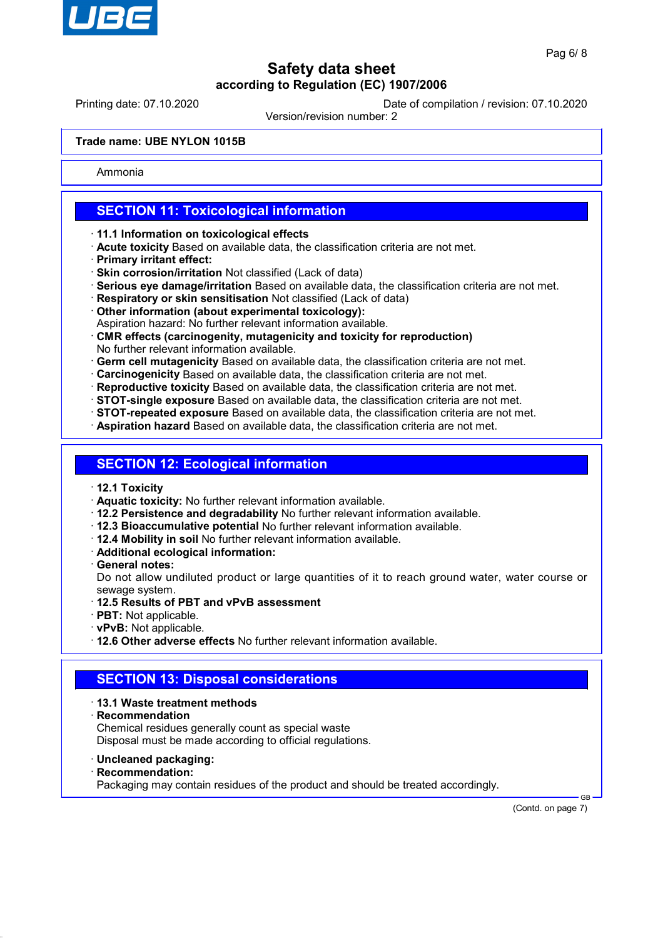

Printing date: 07.10.2020 Date of compilation / revision: 07.10.2020

Version/revision number: 2

#### **Trade name: UBE NYLON 1015B**

Ammonia

## **SECTION 11: Toxicological information**

- · **11.1 Information on toxicological effects**
- · **Acute toxicity** Based on available data, the classification criteria are not met.
- · **Primary irritant effect:**
- · **Skin corrosion/irritation** Not classified (Lack of data)
- · **Serious eye damage/irritation** Based on available data, the classification criteria are not met.
- · **Respiratory or skin sensitisation** Not classified (Lack of data)
- · **Other information (about experimental toxicology):**
- Aspiration hazard: No further relevant information available.
- · **CMR effects (carcinogenity, mutagenicity and toxicity for reproduction)** No further relevant information available.
- · **Germ cell mutagenicity** Based on available data, the classification criteria are not met.
- · **Carcinogenicity** Based on available data, the classification criteria are not met.
- · **Reproductive toxicity** Based on available data, the classification criteria are not met.
- · **STOT-single exposure** Based on available data, the classification criteria are not met.
- · **STOT-repeated exposure** Based on available data, the classification criteria are not met.
- · **Aspiration hazard** Based on available data, the classification criteria are not met.

## **SECTION 12: Ecological information**

- · **12.1 Toxicity**
- · **Aquatic toxicity:** No further relevant information available.
- · **12.2 Persistence and degradability** No further relevant information available.
- · **12.3 Bioaccumulative potential** No further relevant information available.
- · **12.4 Mobility in soil** No further relevant information available.
- · **Additional ecological information:**
- · **General notes:**

Do not allow undiluted product or large quantities of it to reach ground water, water course or sewage system.

- · **12.5 Results of PBT and vPvB assessment**
- · **PBT:** Not applicable.
- · **vPvB:** Not applicable.
- · **12.6 Other adverse effects** No further relevant information available.

## **SECTION 13: Disposal considerations**

#### · **13.1 Waste treatment methods**

· **Recommendation**

Chemical residues generally count as special waste Disposal must be made according to official regulations.

- · **Uncleaned packaging:**
- · **Recommendation:**

Packaging may contain residues of the product and should be treated accordingly.

 GB (Contd. on page 7)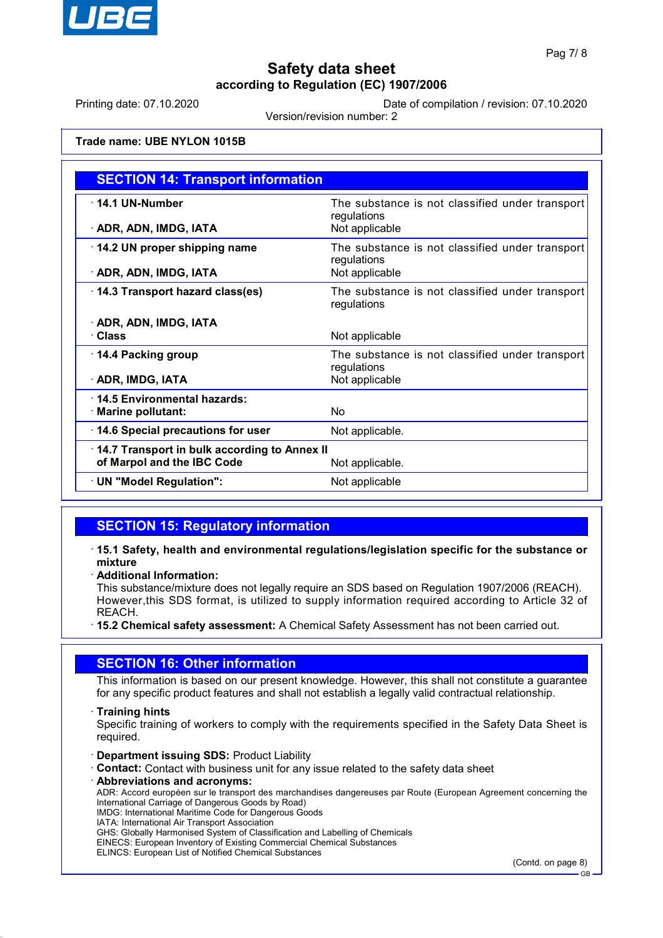

Printing date: 07.10.2020 Date of compilation / revision: 07.10.2020

Version/revision number: 2

## **Trade name: UBE NYLON 1015B**

| <b>SECTION 14: Transport information</b>     |                                                                |  |
|----------------------------------------------|----------------------------------------------------------------|--|
| $\cdot$ 14.1 UN-Number                       | The substance is not classified under transport<br>regulations |  |
| · ADR, ADN, IMDG, IATA                       | Not applicable                                                 |  |
| 14.2 UN proper shipping name                 | The substance is not classified under transport<br>regulations |  |
| · ADR, ADN, IMDG, IATA                       | Not applicable                                                 |  |
| 14.3 Transport hazard class(es)              | The substance is not classified under transport<br>regulations |  |
| · ADR, ADN, IMDG, IATA                       |                                                                |  |
| · Class                                      | Not applicable                                                 |  |
| 14.4 Packing group                           | The substance is not classified under transport<br>regulations |  |
| · ADR, IMDG, IATA                            | Not applicable                                                 |  |
| 14.5 Environmental hazards:                  |                                                                |  |
| · Marine pollutant:                          | No.                                                            |  |
| · 14.6 Special precautions for user          | Not applicable.                                                |  |
| 14.7 Transport in bulk according to Annex II |                                                                |  |
| of Marpol and the IBC Code                   | Not applicable.                                                |  |
| · UN "Model Regulation":                     | Not applicable                                                 |  |

## **SECTION 15: Regulatory information**

- · **15.1 Safety, health and environmental regulations/legislation specific for the substance or mixture**
- · **Additional Information:**

This substance/mixture does not legally require an SDS based on Regulation 1907/2006 (REACH). However,this SDS format, is utilized to supply information required according to Article 32 of REACH.

· **15.2 Chemical safety assessment:** A Chemical Safety Assessment has not been carried out.

## **SECTION 16: Other information**

This information is based on our present knowledge. However, this shall not constitute a guarantee for any specific product features and shall not establish a legally valid contractual relationship.

#### · **Training hints**

Specific training of workers to comply with the requirements specified in the Safety Data Sheet is required.

- · **Department issuing SDS:** Product Liability
- **Contact:** Contact with business unit for any issue related to the safety data sheet
- · **Abbreviations and acronyms:**

ADR: Accord européen sur le transport des marchandises dangereuses par Route (European Agreement concerning the International Carriage of Dangerous Goods by Road)

IMDG: International Maritime Code for Dangerous Goods

IATA: International Air Transport Association

GHS: Globally Harmonised System of Classification and Labelling of Chemicals

EINECS: European Inventory of Existing Commercial Chemical Substances ELINCS: European List of Notified Chemical Substances

(Contd. on page 8)

GB